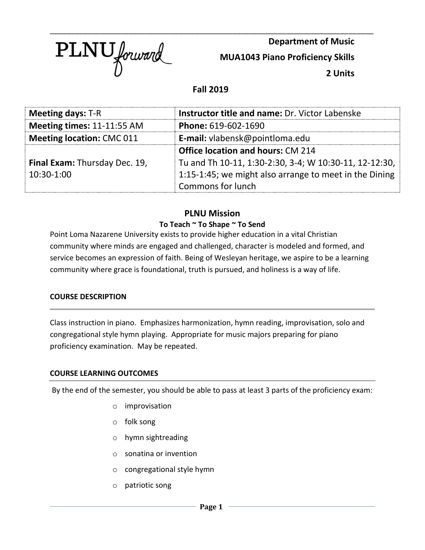

**Department of Music**

**MUA1043 Piano Proficiency Skills**

**2 Units**

# **Fall 2019**

\_\_\_\_\_\_\_\_\_\_\_\_\_\_\_\_\_\_\_\_\_\_\_\_\_\_\_\_\_\_\_\_\_\_\_\_\_\_\_\_\_\_\_\_\_\_\_\_\_\_\_\_\_\_\_\_\_\_\_\_\_\_\_\_\_\_\_\_\_\_\_\_\_\_\_\_\_\_

| <b>Meeting days: T-R</b>             | Instructor title and name: Dr. Victor Labenske                                                     |  |  |
|--------------------------------------|----------------------------------------------------------------------------------------------------|--|--|
| Meeting times: 11-11:55 AM           | Phone: 619-602-1690                                                                                |  |  |
| <b>Meeting location: CMC 011</b>     | E-mail: vlabensk@pointloma.edu                                                                     |  |  |
|                                      | <b>Office location and hours: CM 214</b><br>Tu and Th 10-11, 1:30-2:30, 3-4; W 10:30-11, 12-12:30, |  |  |
| <b>Final Exam: Thursday Dec. 19,</b> |                                                                                                    |  |  |
| $10:30-1:00$                         | 1:15-1:45; we might also arrange to meet in the Dining                                             |  |  |
|                                      | <b>Commons for lunch</b>                                                                           |  |  |

# **PLNU Mission**

# **To Teach ~ To Shape ~ To Send**

Point Loma Nazarene University exists to provide higher education in a vital Christian community where minds are engaged and challenged, character is modeled and formed, and service becomes an expression of faith. Being of Wesleyan heritage, we aspire to be a learning community where grace is foundational, truth is pursued, and holiness is a way of life.

## **COURSE DESCRIPTION**

Class instruction in piano. Emphasizes harmonization, hymn reading, improvisation, solo and congregational style hymn playing. Appropriate for music majors preparing for piano proficiency examination. May be repeated.

### **COURSE LEARNING OUTCOMES**

By the end of the semester, you should be able to pass at least 3 parts of the proficiency exam:

- o improvisation
- o folk song
- o hymn sightreading
- o sonatina or invention
- o congregational style hymn
- o patriotic song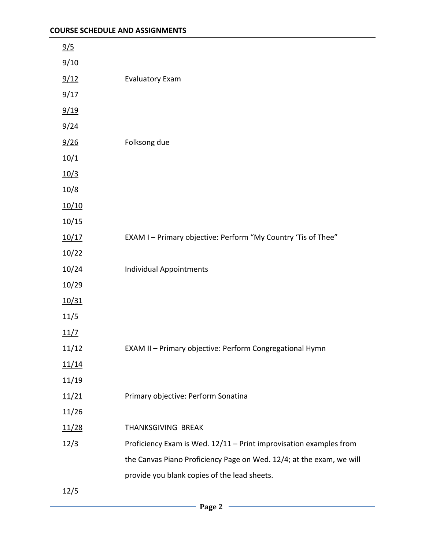| 9/5           |                                                                      |
|---------------|----------------------------------------------------------------------|
| 9/10          |                                                                      |
| 9/12          | <b>Evaluatory Exam</b>                                               |
| 9/17          |                                                                      |
| 9/19          |                                                                      |
| 9/24          |                                                                      |
| 9/26          | Folksong due                                                         |
| 10/1          |                                                                      |
| 10/3          |                                                                      |
| 10/8          |                                                                      |
| 10/10         |                                                                      |
| 10/15         |                                                                      |
| 10/17         | EXAM I - Primary objective: Perform "My Country 'Tis of Thee"        |
| 10/22         |                                                                      |
| 10/24         | <b>Individual Appointments</b>                                       |
| 10/29         |                                                                      |
| 10/31         |                                                                      |
| 11/5          |                                                                      |
| 11/7          |                                                                      |
| 11/12         | EXAM II - Primary objective: Perform Congregational Hymn             |
| <u> 11/14</u> |                                                                      |
| 11/19         |                                                                      |
| 11/21         | Primary objective: Perform Sonatina                                  |
| 11/26         |                                                                      |
| 11/28         | THANKSGIVING BREAK                                                   |
| 12/3          | Proficiency Exam is Wed. 12/11 - Print improvisation examples from   |
|               | the Canvas Piano Proficiency Page on Wed. 12/4; at the exam, we will |
|               | provide you blank copies of the lead sheets.                         |
| 12/5          |                                                                      |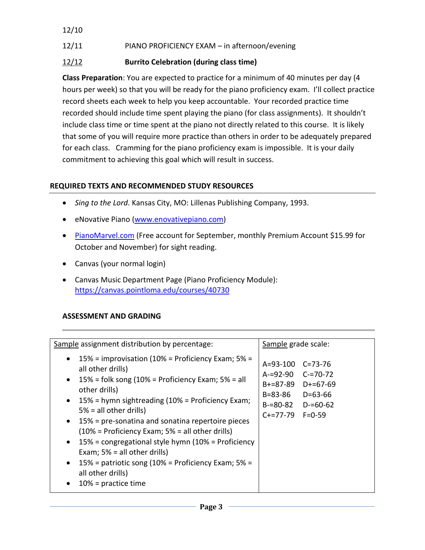## 12/10

# 12/11 PIANO PROFICIENCY EXAM – in afternoon/evening

# 12/12 **Burrito Celebration (during class time)**

**Class Preparation**: You are expected to practice for a minimum of 40 minutes per day (4 hours per week) so that you will be ready for the piano proficiency exam. I'll collect practice record sheets each week to help you keep accountable. Your recorded practice time recorded should include time spent playing the piano (for class assignments). It shouldn't include class time or time spent at the piano not directly related to this course. It is likely that some of you will require more practice than others in order to be adequately prepared for each class. Cramming for the piano proficiency exam is impossible. It is your daily commitment to achieving this goal which will result in success.

# **REQUIRED TEXTS AND RECOMMENDED STUDY RESOURCES**

- *Sing to the Lord*. Kansas City, MO: Lillenas Publishing Company, 1993.
- eNovative Piano [\(www.enovativepiano.com\)](http://www.enovativepiano.com/)
- [PianoMarvel.com](http://pianomarvel.com/) (Free account for September, monthly Premium Account \$15.99 for October and November) for sight reading.
- Canvas (your normal login)
- Canvas Music Department Page (Piano Proficiency Module): <https://canvas.pointloma.edu/courses/40730>

## **ASSESSMENT AND GRADING**

| Sample assignment distribution by percentage:                                                                                                                                                                                                                                                                                                                                                                                                                                                                                                                         | Sample grade scale:                                                                                                                                             |  |  |
|-----------------------------------------------------------------------------------------------------------------------------------------------------------------------------------------------------------------------------------------------------------------------------------------------------------------------------------------------------------------------------------------------------------------------------------------------------------------------------------------------------------------------------------------------------------------------|-----------------------------------------------------------------------------------------------------------------------------------------------------------------|--|--|
| 15% = improvisation (10% = Proficiency Exam; $5%$ =<br>all other drills)<br>$15\%$ = folk song (10% = Proficiency Exam; 5% = all<br>$\bullet$<br>other drills)<br>15% = hymn sightreading (10% = Proficiency Exam;<br>$5% = all other drift$<br>15% = pre-sonatina and sonatina repertoire pieces<br>$(10\%$ = Proficiency Exam; 5% = all other drills)<br>$15%$ = congregational style hymn (10% = Proficiency<br>$\bullet$<br>Exam; $5% = all other drift(s)$<br>15% = patriotic song (10% = Proficiency Exam; $5%$ =<br>all other drills)<br>$10%$ = practice time | $A = 93 - 100$<br>$C = 73 - 76$<br>A-=92-90 C-=70-72<br>D+=67-69<br>B+=87-89<br>B=83-86<br>$D = 63 - 66$<br>$B = 80 - 82$<br>$D = 60 - 62$<br>$C+=77-79$ F=0-59 |  |  |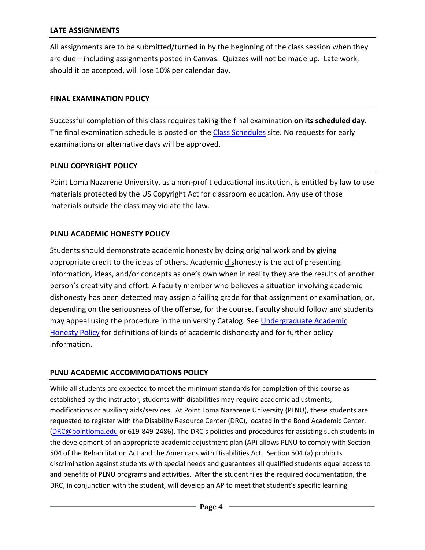#### **LATE ASSIGNMENTS**

All assignments are to be submitted/turned in by the beginning of the class session when they are due—including assignments posted in Canvas. Quizzes will not be made up. Late work, should it be accepted, will lose 10% per calendar day.

#### **FINAL EXAMINATION POLICY**

Successful completion of this class requires taking the final examination **on its scheduled day**. The final examination schedule is posted on the [Class Schedules](https://www.pointloma.edu/offices/records/undergraduate-records) site. No requests for early examinations or alternative days will be approved.

#### **PLNU COPYRIGHT POLICY**

Point Loma Nazarene University, as a non-profit educational institution, is entitled by law to use materials protected by the US Copyright Act for classroom education. Any use of those materials outside the class may violate the law.

#### **PLNU ACADEMIC HONESTY POLICY**

Students should demonstrate academic honesty by doing original work and by giving appropriate credit to the ideas of others. Academic dishonesty is the act of presenting information, ideas, and/or concepts as one's own when in reality they are the results of another person's creativity and effort. A faculty member who believes a situation involving academic dishonesty has been detected may assign a failing grade for that assignment or examination, or, depending on the seriousness of the offense, for the course. Faculty should follow and students may appeal using the procedure in the university Catalog. See Undergraduate Academic [Honesty Policy](https://catalog.pointloma.edu/content.php?catoid=41&navoid=2435#Academic_Honesty) for definitions of kinds of academic dishonesty and for further policy information.

#### **PLNU ACADEMIC ACCOMMODATIONS POLICY**

While all students are expected to meet the minimum standards for completion of this course as established by the instructor, students with disabilities may require academic adjustments, modifications or auxiliary aids/services. At Point Loma Nazarene University (PLNU), these students are requested to register with the Disability Resource Center (DRC), located in the Bond Academic Center. [\(DRC@pointloma.edu](mailto:DRC@pointloma.edu) or 619-849-2486). The DRC's policies and procedures for assisting such students in the development of an appropriate academic adjustment plan (AP) allows PLNU to comply with Section 504 of the Rehabilitation Act and the Americans with Disabilities Act. Section 504 (a) prohibits discrimination against students with special needs and guarantees all qualified students equal access to and benefits of PLNU programs and activities. After the student files the required documentation, the DRC, in conjunction with the student, will develop an AP to meet that student's specific learning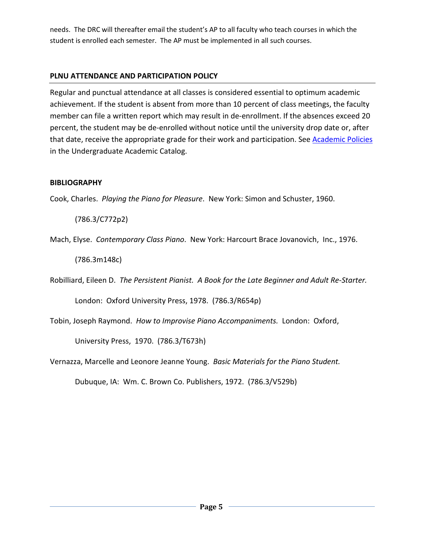needs. The DRC will thereafter email the student's AP to all faculty who teach courses in which the student is enrolled each semester. The AP must be implemented in all such courses.

## **PLNU ATTENDANCE AND PARTICIPATION POLICY**

Regular and punctual attendance at all classes is considered essential to optimum academic achievement. If the student is absent from more than 10 percent of class meetings, the faculty member can file a written report which may result in de-enrollment. If the absences exceed 20 percent, the student may be de-enrolled without notice until the university drop date or, after that date, receive the appropriate grade for their work and participation. See [Academic Policies](http://catalog.pointloma.edu/content.php?catoid=18&navoid=1278) in the Undergraduate Academic Catalog.

## **BIBLIOGRAPHY**

Cook, Charles. *Playing the Piano for Pleasure*. New York: Simon and Schuster, 1960.

(786.3/C772p2)

Mach, Elyse. *Contemporary Class Piano*. New York: Harcourt Brace Jovanovich, Inc., 1976.

(786.3m148c)

Robilliard, Eileen D. *The Persistent Pianist. A Book for the Late Beginner and Adult Re-Starter.*

London: Oxford University Press, 1978. (786.3/R654p)

Tobin, Joseph Raymond. *How to Improvise Piano Accompaniments.* London: Oxford,

University Press, 1970. (786.3/T673h)

Vernazza, Marcelle and Leonore Jeanne Young. *Basic Materials for the Piano Student.*

Dubuque, IA: Wm. C. Brown Co. Publishers, 1972. (786.3/V529b)